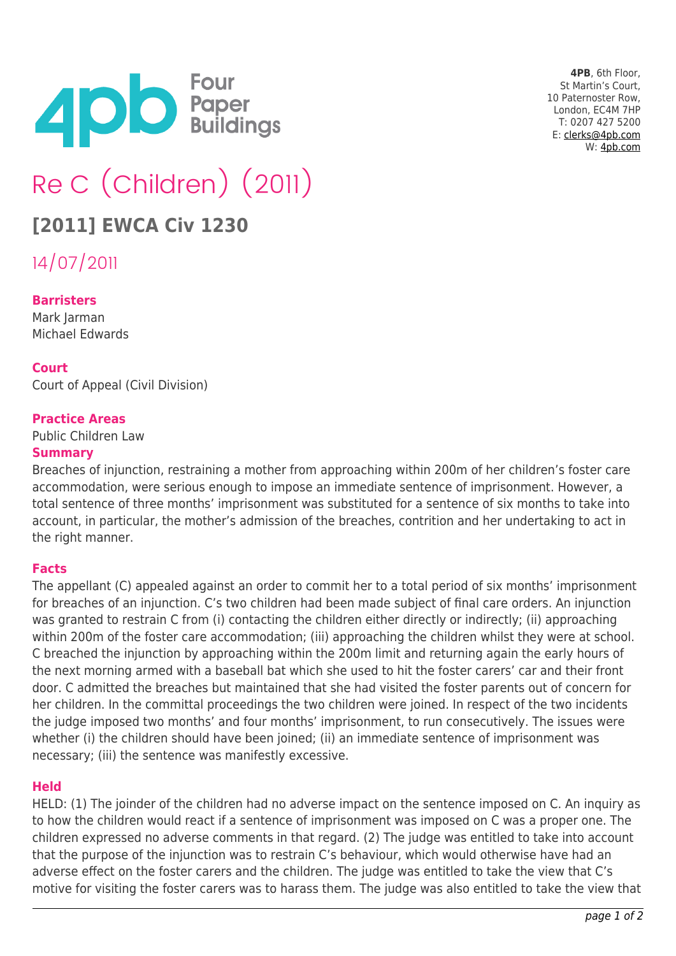

**4PB**, 6th Floor, St Martin's Court, 10 Paternoster Row, London, EC4M 7HP T: 0207 427 5200 E: [clerks@4pb.com](mailto:clerks@4pb.com) W: [4pb.com](http://4pb.com)

# Re C (Children) (2011)

# **[2011] EWCA Civ 1230**

14/07/2011

# **Barristers**

Mark Jarman Michael Edwards

# **Court**

Court of Appeal (Civil Division)

#### **Practice Areas**

Public Children Law

#### **Summary**

Breaches of injunction, restraining a mother from approaching within 200m of her children's foster care accommodation, were serious enough to impose an immediate sentence of imprisonment. However, a total sentence of three months' imprisonment was substituted for a sentence of six months to take into account, in particular, the mother's admission of the breaches, contrition and her undertaking to act in the right manner.

# **Facts**

The appellant (C) appealed against an order to commit her to a total period of six months' imprisonment for breaches of an injunction. C's two children had been made subject of final care orders. An injunction was granted to restrain C from (i) contacting the children either directly or indirectly; (ii) approaching within 200m of the foster care accommodation; (iii) approaching the children whilst they were at school. C breached the injunction by approaching within the 200m limit and returning again the early hours of the next morning armed with a baseball bat which she used to hit the foster carers' car and their front door. C admitted the breaches but maintained that she had visited the foster parents out of concern for her children. In the committal proceedings the two children were joined. In respect of the two incidents the judge imposed two months' and four months' imprisonment, to run consecutively. The issues were whether (i) the children should have been joined; (ii) an immediate sentence of imprisonment was necessary; (iii) the sentence was manifestly excessive.

# **Held**

HELD: (1) The joinder of the children had no adverse impact on the sentence imposed on C. An inquiry as to how the children would react if a sentence of imprisonment was imposed on C was a proper one. The children expressed no adverse comments in that regard. (2) The judge was entitled to take into account that the purpose of the injunction was to restrain C's behaviour, which would otherwise have had an adverse effect on the foster carers and the children. The judge was entitled to take the view that C's motive for visiting the foster carers was to harass them. The judge was also entitled to take the view that